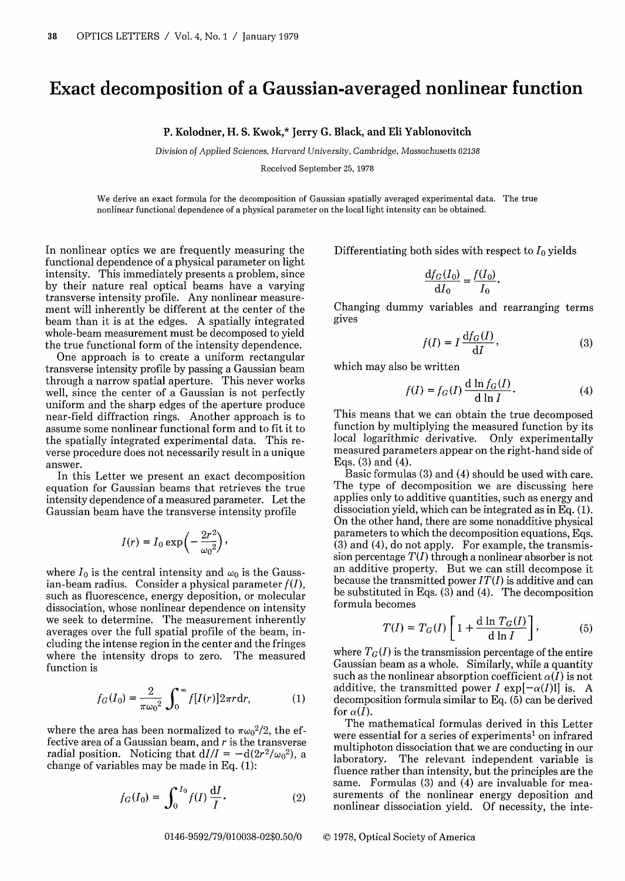## Exact decomposition of a Gaussian-averaged nonlinear function

## P. Kolodner, H. S. Kwok,\* Jerry G. Black, and Eli Yablonovitch

*Division of Applied Sciences, Harvard University, Cambridge,* Massachusetts 02138

Received September 25, 1978

We derive an exact formula for the decomposition of Gaussian spatially averaged experimental data. The true nonlinear functional dependence of a physical parameter on the local light intensity can be obtained.

In nonlinear optics we are frequently measuring the functional dependence of a physical parameter on light intensity. This immediately presents a problem, since by their nature real optical beams have a varying transverse intensity profile. Any nonlinear measurement will inherently be different at the center of the beam than it is at the edges. A spatially integrated whole-beam measurement must be decomposed to yield the true functional form of the intensity dependence.

One approach is to create a uniform rectangular transverse intensity profile by passing a Gaussian beam through a narrow spatial aperture. This never works well, since the center of a Gaussian is not perfectly uniform and the sharp edges of the aperture produce near-field diffraction rings. Another approach is to assume some nonlinear functional form and to fit it to the spatially integrated experimental data. This reverse procedure does not necessarily result in a unique answer.

In this Letter we present an exact decomposition equation for Gaussian beams that retrieves the true intensity dependence of a measured parameter. Let the Gaussian beam have the transverse intensity profile

$$
I(r) = I_0 \exp\left(-\frac{2r^2}{\omega_0^2}\right),\,
$$

where  $I_0$  is the central intensity and  $\omega_0$  is the Gaussian-beam radius. Consider a physical parameter  $f(I)$ , such as fluorescence, energy deposition, or molecular dissociation, whose nonlinear dependence on intensity we seek to determine. The measurement inherently averages over the full spatial profile of the beam, including the intense region in the center and the fringes where the intensity drops to zero. The measured function is

$$
f_G(I_0) = \frac{2}{\pi \omega_0^2} \int_0^\infty f[I(r)] 2\pi r dr, \qquad (1)
$$

where the area has been normalized to  $\pi \omega_0^2/2$ , the effective area of a Gaussian beam, and  $r$  is the transverse radial position. Noticing that  $dI/I = -d(2r^2/\omega_0^2)$ , a change of variables may be made in Eq. (1):

$$
f_G(I_0) = \int_0^{I_0} f(I) \, \frac{\mathrm{d}I}{I} \,. \tag{2}
$$

0146-9592/79/010038-02\$0.50/0 © 1978, Optical Society of America

Differentiating both sides with respect to  $I_0$  yields

$$
\frac{\mathrm{d}f_G(I_0)}{\mathrm{d}I_0} = \frac{f(I_0)}{I_0}.
$$

Changing dummy variables and rearranging terms gives

$$
f(I) = I \frac{\mathrm{d}f_G(I)}{\mathrm{d}I},\tag{3}
$$

which may also be written

$$
f(I) = f_G(I) \frac{d \ln f_G(I)}{d \ln I}.
$$
 (4)

This means that we can obtain the true decomposed function by multiplying the measured function by its local logarithmic derivative. Only experimentally measured parameters appear on the right-hand side of Eqs. (3) and (4).

Basic formulas (3) and (4) should be used with care. The type of decomposition we are discussing here applies only to additive quantities, such as energy and dissociation yield, which can be integrated as in Eq. (1). On the other hand, there are some nonadditive physical parameters to which the decomposition equations, Eqs. (3) and (4), do not apply. For example, the transmission percentage  $T(I)$  through a nonlinear absorber is not an additive property. But we can still decompose it because the transmitted power *IT(I)* is additive and can be substituted in Eqs.  $(3)$  and  $(4)$ . The decomposition formula becomes

$$
T(I) = T_G(I) \left[ 1 + \frac{d \ln T_G(I)}{d \ln I} \right],
$$
 (5)

where  $T_G(I)$  is the transmission percentage of the entire Gaussian beam as a whole. Similarly, while a quantity such as the nonlinear absorption coefficient  $\alpha(I)$  is not additive, the transmitted power I exp $[-\alpha(I)l]$  is. A decomposition formula similar to Eq. (5) can be derived for  $\alpha(I)$ .

The mathematical formulas derived in this Letter were essential for a series of experiments<sup>1</sup> on infrared multiphoton dissociation that we are conducting in our laboratory. The relevant independent variable is The relevant independent variable is fluence rather than intensity, but the principles are the same. Formulas (3) and (4) are invaluable for measurements of the nonlinear energy deposition and nonlinear dissociation yield. Of necessity, the inte